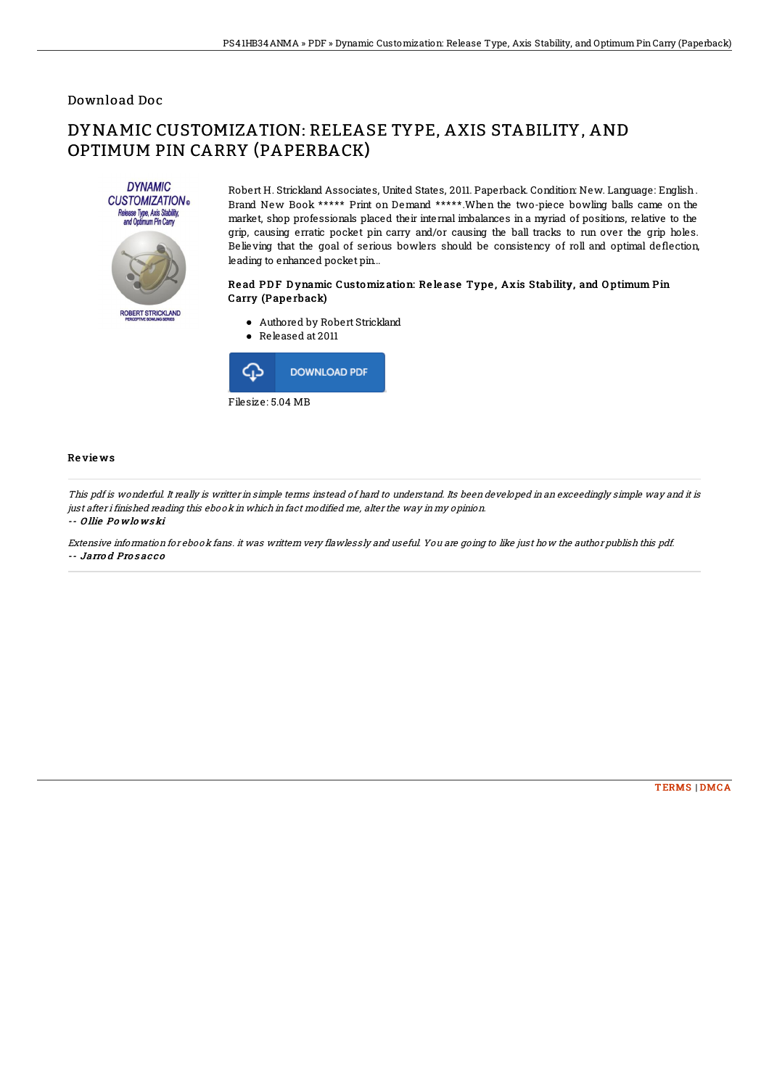## Download Doc

# DYNAMIC CUSTOMIZATION: RELEASE TYPE, AXIS STABILITY, AND OPTIMUM PIN CARRY (PAPERBACK)



Robert H. Strickland Associates, United States, 2011. Paperback. Condition: New. Language: English. Brand New Book \*\*\*\*\* Print on Demand \*\*\*\*\*.When the two-piece bowling balls came on the market, shop professionals placed their internal imbalances in a myriad of positions, relative to the grip, causing erratic pocket pin carry and/or causing the ball tracks to run over the grip holes. Believing that the goal of serious bowlers should be consistency of roll and optimal deflection, leading to enhanced pocket pin...

### Read PDF Dynamic Customization: Release Type, Axis Stability, and Optimum Pin Carry (Pape rback)

- Authored by Robert Strickland
- Released at 2011



#### Re vie ws

This pdf is wonderful. It really is writter in simple terms instead of hard to understand. Its been developed in an exceedingly simple way and it is just after i finished reading this ebook in which in fact modified me, alter the way in my opinion.

#### -- O llie Po wlo ws ki

Extensive information for ebook fans. it was writtern very flawlessly and useful. You are going to like just how the author publish this pdf. -- Jarro d Pro s ac c o